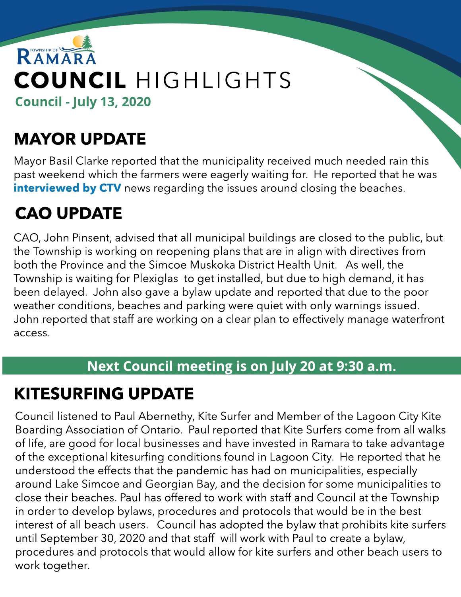

# MAYOR UPDATE

Mayor Basil Clarke reported that the municipality received much needed rain this past weekend which the farmers were eagerly waiting for. He reported that he was [interview](https://barrie.ctvnews.ca/we-tried-all-the-tricks-to-control-the-numbers-beach-restrictions-toughen-1.5019698)ed [by](https://barrie.ctvnews.ca/we-tried-all-the-tricks-to-control-the-numbers-beach-restrictions-toughen-1.5019698) [CTV](https://barrie.ctvnews.ca/we-tried-all-the-tricks-to-control-the-numbers-beach-restrictions-toughen-1.5019698) news regarding the issues around closing the beaches.

# CAO UPDATE

CAO, John Pinsent, advised that all municipal buildings are closed to the public, but the Township is working on reopening plans that are in align with directives from both the Province and the Simcoe Muskoka District Health Unit. As well, the Township is waiting for Plexiglas to get installed, but due to high demand, it has been delayed. John also gave a bylaw update and reported that due to the poor weather conditions, beaches and parking were quiet with only warnings issued. John reported that staff are working on a clear plan to effectively manage waterfront access.

#### Next Council meeting is on July 20 at 9:30 a.m.

## KITESURFING UPDATE

Council listened to Paul Abernethy, Kite Surfer and Member of the Lagoon City Kite Boarding Association of Ontario. Paul reported that Kite Surfers come from all walks of life, are good for local businesses and have invested in Ramara to take advantage of the exceptional kitesurfing conditions found in Lagoon City. He reported that he understood the effects that the pandemic has had on municipalities, especially around Lake Simcoe and Georgian Bay, and the decision for some municipalities to close their beaches. Paul has offered to work with staff and Council at the Township in order to develop bylaws, procedures and protocols that would be in the best interest of all beach users. Council has adopted the bylaw that prohibits kite surfers until September 30, 2020 and that staff will work with Paul to create a bylaw, procedures and protocols that would allow for kite surfers and other beach users to work together.